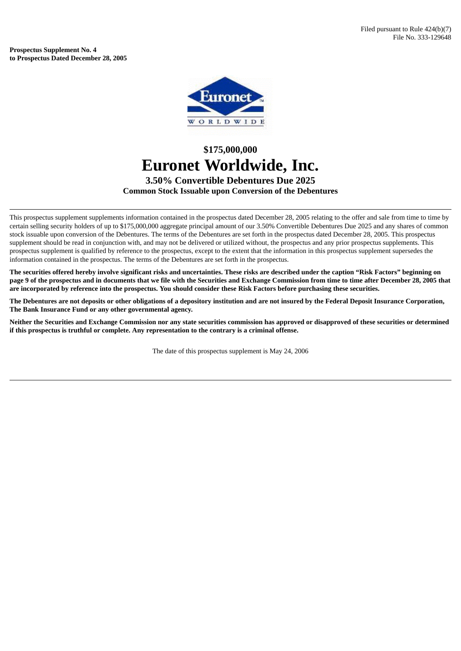**Prospectus Supplement No. 4 to Prospectus Dated December 28, 2005**



## **\$175,000,000 Euronet Worldwide, Inc. 3.50% Convertible Debentures Due 2025 Common Stock Issuable upon Conversion of the Debentures**

This prospectus supplement supplements information contained in the prospectus dated December 28, 2005 relating to the offer and sale from time to time by certain selling security holders of up to \$175,000,000 aggregate principal amount of our 3.50% Convertible Debentures Due 2025 and any shares of common stock issuable upon conversion of the Debentures. The terms of the Debentures are set forth in the prospectus dated December 28, 2005. This prospectus supplement should be read in conjunction with, and may not be delivered or utilized without, the prospectus and any prior prospectus supplements. This prospectus supplement is qualified by reference to the prospectus, except to the extent that the information in this prospectus supplement supersedes the information contained in the prospectus. The terms of the Debentures are set forth in the prospectus.

The securities offered hereby involve significant risks and uncertainties. These risks are described under the caption "Risk Factors" beginning on page 9 of the prospectus and in documents that we file with the Securities and Exchange Commission from time to time after December 28, 2005 that are incorporated by reference into the prospectus. You should consider these Risk Factors before purchasing these securities.

The Debentures are not deposits or other obligations of a depository institution and are not insured by the Federal Deposit Insurance Corporation, **The Bank Insurance Fund or any other governmental agency.**

Neither the Securities and Exchange Commission nor any state securities commission has approved or disapproved of these securities or determined **if this prospectus is truthful or complete. Any representation to the contrary is a criminal offense.**

The date of this prospectus supplement is May 24, 2006